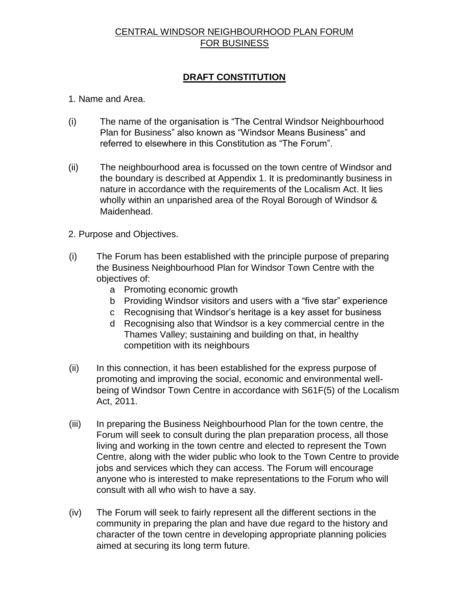# CENTRAL WINDSOR NEIGHBOURHOOD PLAN FORUM FOR BUSINESS

## **DRAFT CONSTITUTION**

1. Name and Area.

- (i) The name of the organisation is "The Central Windsor Neighbourhood Plan for Business" also known as "Windsor Means Business" and referred to elsewhere in this Constitution as "The Forum".
- (ii) The neighbourhood area is focussed on the town centre of Windsor and the boundary is described at Appendix 1. It is predominantly business in nature in accordance with the requirements of the Localism Act. It lies wholly within an unparished area of the Royal Borough of Windsor & Maidenhead.
- 2. Purpose and Objectives.
- (i) The Forum has been established with the principle purpose of preparing the Business Neighbourhood Plan for Windsor Town Centre with the objectives of:
	- a Promoting economic growth
	- b Providing Windsor visitors and users with a "five star" experience
	- c Recognising that Windsor's heritage is a key asset for business
	- d Recognising also that Windsor is a key commercial centre in the Thames Valley; sustaining and building on that, in healthy competition with its neighbours
- (ii) In this connection, it has been established for the express purpose of promoting and improving the social, economic and environmental wellbeing of Windsor Town Centre in accordance with S61F(5) of the Localism Act, 2011.
- (iii) In preparing the Business Neighbourhood Plan for the town centre, the Forum will seek to consult during the plan preparation process, all those living and working in the town centre and elected to represent the Town Centre, along with the wider public who look to the Town Centre to provide jobs and services which they can access. The Forum will encourage anyone who is interested to make representations to the Forum who will consult with all who wish to have a say.
- (iv) The Forum will seek to fairly represent all the different sections in the community in preparing the plan and have due regard to the history and character of the town centre in developing appropriate planning policies aimed at securing its long term future.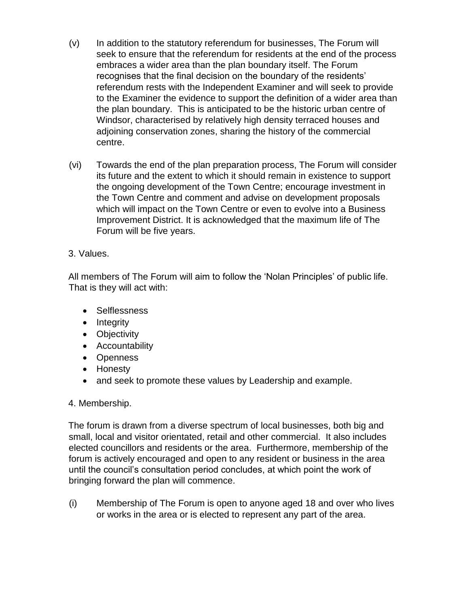- (v) In addition to the statutory referendum for businesses, The Forum will seek to ensure that the referendum for residents at the end of the process embraces a wider area than the plan boundary itself. The Forum recognises that the final decision on the boundary of the residents' referendum rests with the Independent Examiner and will seek to provide to the Examiner the evidence to support the definition of a wider area than the plan boundary. This is anticipated to be the historic urban centre of Windsor, characterised by relatively high density terraced houses and adjoining conservation zones, sharing the history of the commercial centre.
- (vi) Towards the end of the plan preparation process, The Forum will consider its future and the extent to which it should remain in existence to support the ongoing development of the Town Centre; encourage investment in the Town Centre and comment and advise on development proposals which will impact on the Town Centre or even to evolve into a Business Improvement District. It is acknowledged that the maximum life of The Forum will be five years.

## 3. Values.

All members of The Forum will aim to follow the 'Nolan Principles' of public life. That is they will act with:

- Selflessness
- Integrity
- Objectivity
- **•** Accountability
- Openness
- Honesty
- and seek to promote these values by Leadership and example.

### 4. Membership.

The forum is drawn from a diverse spectrum of local businesses, both big and small, local and visitor orientated, retail and other commercial. It also includes elected councillors and residents or the area. Furthermore, membership of the forum is actively encouraged and open to any resident or business in the area until the council's consultation period concludes, at which point the work of bringing forward the plan will commence.

(i) Membership of The Forum is open to anyone aged 18 and over who lives or works in the area or is elected to represent any part of the area.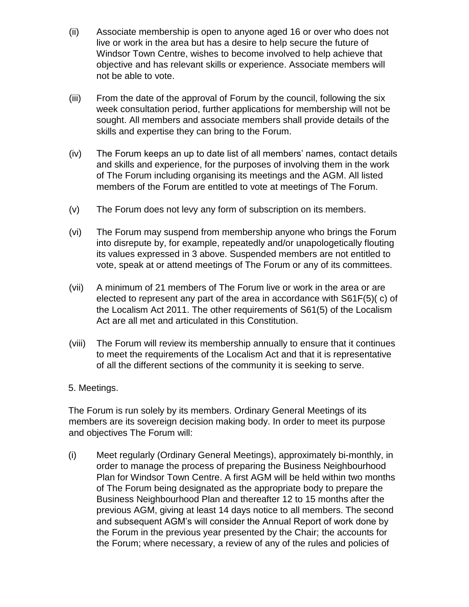- (ii) Associate membership is open to anyone aged 16 or over who does not live or work in the area but has a desire to help secure the future of Windsor Town Centre, wishes to become involved to help achieve that objective and has relevant skills or experience. Associate members will not be able to vote.
- (iii) From the date of the approval of Forum by the council, following the six week consultation period, further applications for membership will not be sought. All members and associate members shall provide details of the skills and expertise they can bring to the Forum.
- (iv) The Forum keeps an up to date list of all members' names, contact details and skills and experience, for the purposes of involving them in the work of The Forum including organising its meetings and the AGM. All listed members of the Forum are entitled to vote at meetings of The Forum.
- (v) The Forum does not levy any form of subscription on its members.
- (vi) The Forum may suspend from membership anyone who brings the Forum into disrepute by, for example, repeatedly and/or unapologetically flouting its values expressed in 3 above. Suspended members are not entitled to vote, speak at or attend meetings of The Forum or any of its committees.
- (vii) A minimum of 21 members of The Forum live or work in the area or are elected to represent any part of the area in accordance with S61F(5)( c) of the Localism Act 2011. The other requirements of S61(5) of the Localism Act are all met and articulated in this Constitution.
- (viii) The Forum will review its membership annually to ensure that it continues to meet the requirements of the Localism Act and that it is representative of all the different sections of the community it is seeking to serve.
- 5. Meetings.

The Forum is run solely by its members. Ordinary General Meetings of its members are its sovereign decision making body. In order to meet its purpose and objectives The Forum will:

(i) Meet regularly (Ordinary General Meetings), approximately bi-monthly, in order to manage the process of preparing the Business Neighbourhood Plan for Windsor Town Centre. A first AGM will be held within two months of The Forum being designated as the appropriate body to prepare the Business Neighbourhood Plan and thereafter 12 to 15 months after the previous AGM, giving at least 14 days notice to all members. The second and subsequent AGM's will consider the Annual Report of work done by the Forum in the previous year presented by the Chair; the accounts for the Forum; where necessary, a review of any of the rules and policies of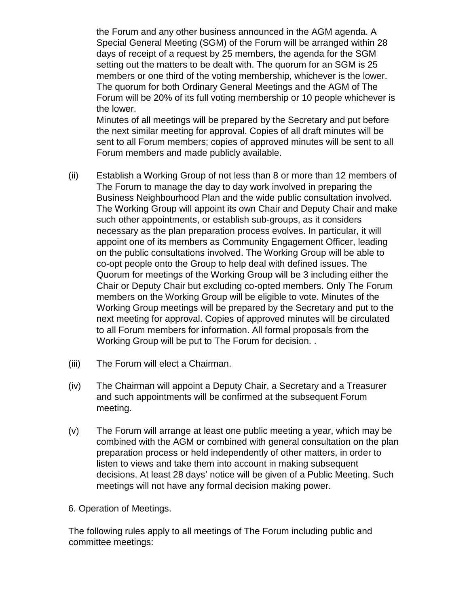the Forum and any other business announced in the AGM agenda. A Special General Meeting (SGM) of the Forum will be arranged within 28 days of receipt of a request by 25 members, the agenda for the SGM setting out the matters to be dealt with. The quorum for an SGM is 25 members or one third of the voting membership, whichever is the lower. The quorum for both Ordinary General Meetings and the AGM of The Forum will be 20% of its full voting membership or 10 people whichever is the lower.

Minutes of all meetings will be prepared by the Secretary and put before the next similar meeting for approval. Copies of all draft minutes will be sent to all Forum members; copies of approved minutes will be sent to all Forum members and made publicly available.

- (ii) Establish a Working Group of not less than 8 or more than 12 members of The Forum to manage the day to day work involved in preparing the Business Neighbourhood Plan and the wide public consultation involved. The Working Group will appoint its own Chair and Deputy Chair and make such other appointments, or establish sub-groups, as it considers necessary as the plan preparation process evolves. In particular, it will appoint one of its members as Community Engagement Officer, leading on the public consultations involved. The Working Group will be able to co-opt people onto the Group to help deal with defined issues. The Quorum for meetings of the Working Group will be 3 including either the Chair or Deputy Chair but excluding co-opted members. Only The Forum members on the Working Group will be eligible to vote. Minutes of the Working Group meetings will be prepared by the Secretary and put to the next meeting for approval. Copies of approved minutes will be circulated to all Forum members for information. All formal proposals from the Working Group will be put to The Forum for decision. .
- (iii) The Forum will elect a Chairman.
- (iv) The Chairman will appoint a Deputy Chair, a Secretary and a Treasurer and such appointments will be confirmed at the subsequent Forum meeting.
- (v) The Forum will arrange at least one public meeting a year, which may be combined with the AGM or combined with general consultation on the plan preparation process or held independently of other matters, in order to listen to views and take them into account in making subsequent decisions. At least 28 days' notice will be given of a Public Meeting. Such meetings will not have any formal decision making power.
- 6. Operation of Meetings.

The following rules apply to all meetings of The Forum including public and committee meetings: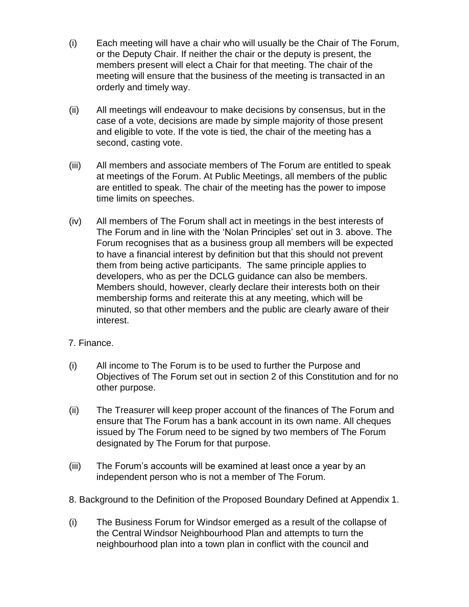- (i) Each meeting will have a chair who will usually be the Chair of The Forum, or the Deputy Chair. If neither the chair or the deputy is present, the members present will elect a Chair for that meeting. The chair of the meeting will ensure that the business of the meeting is transacted in an orderly and timely way.
- (ii) All meetings will endeavour to make decisions by consensus, but in the case of a vote, decisions are made by simple majority of those present and eligible to vote. If the vote is tied, the chair of the meeting has a second, casting vote.
- (iii) All members and associate members of The Forum are entitled to speak at meetings of the Forum. At Public Meetings, all members of the public are entitled to speak. The chair of the meeting has the power to impose time limits on speeches.
- (iv) All members of The Forum shall act in meetings in the best interests of The Forum and in line with the 'Nolan Principles' set out in 3. above. The Forum recognises that as a business group all members will be expected to have a financial interest by definition but that this should not prevent them from being active participants. The same principle applies to developers, who as per the DCLG guidance can also be members. Members should, however, clearly declare their interests both on their membership forms and reiterate this at any meeting, which will be minuted, so that other members and the public are clearly aware of their interest.

## 7. Finance.

- (i) All income to The Forum is to be used to further the Purpose and Objectives of The Forum set out in section 2 of this Constitution and for no other purpose.
- (ii) The Treasurer will keep proper account of the finances of The Forum and ensure that The Forum has a bank account in its own name. All cheques issued by The Forum need to be signed by two members of The Forum designated by The Forum for that purpose.
- (iii) The Forum's accounts will be examined at least once a year by an independent person who is not a member of The Forum.
- 8. Background to the Definition of the Proposed Boundary Defined at Appendix 1.
- (i) The Business Forum for Windsor emerged as a result of the collapse of the Central Windsor Neighbourhood Plan and attempts to turn the neighbourhood plan into a town plan in conflict with the council and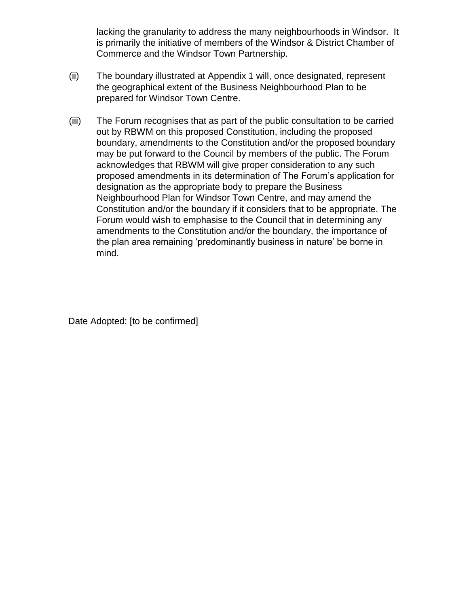lacking the granularity to address the many neighbourhoods in Windsor. It is primarily the initiative of members of the Windsor & District Chamber of Commerce and the Windsor Town Partnership.

- (ii) The boundary illustrated at Appendix 1 will, once designated, represent the geographical extent of the Business Neighbourhood Plan to be prepared for Windsor Town Centre.
- (iii) The Forum recognises that as part of the public consultation to be carried out by RBWM on this proposed Constitution, including the proposed boundary, amendments to the Constitution and/or the proposed boundary may be put forward to the Council by members of the public. The Forum acknowledges that RBWM will give proper consideration to any such proposed amendments in its determination of The Forum's application for designation as the appropriate body to prepare the Business Neighbourhood Plan for Windsor Town Centre, and may amend the Constitution and/or the boundary if it considers that to be appropriate. The Forum would wish to emphasise to the Council that in determining any amendments to the Constitution and/or the boundary, the importance of the plan area remaining 'predominantly business in nature' be borne in mind.

Date Adopted: [to be confirmed]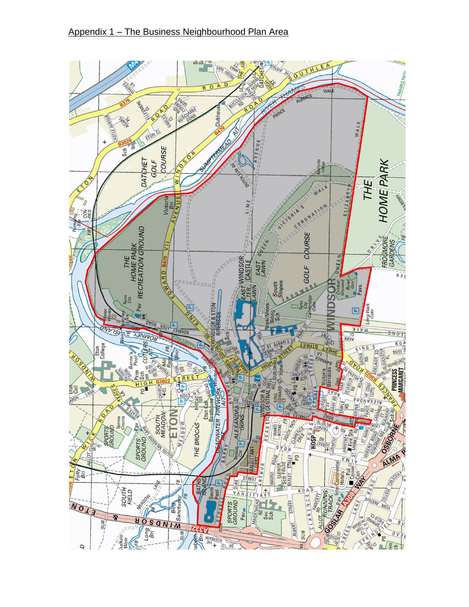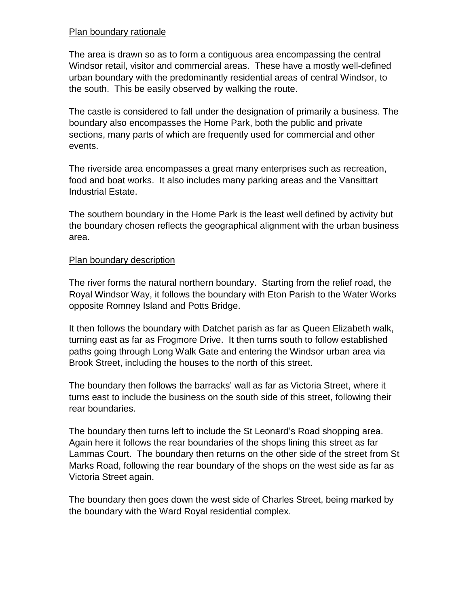#### Plan boundary rationale

The area is drawn so as to form a contiguous area encompassing the central Windsor retail, visitor and commercial areas. These have a mostly well-defined urban boundary with the predominantly residential areas of central Windsor, to the south. This be easily observed by walking the route.

The castle is considered to fall under the designation of primarily a business. The boundary also encompasses the Home Park, both the public and private sections, many parts of which are frequently used for commercial and other events.

The riverside area encompasses a great many enterprises such as recreation, food and boat works. It also includes many parking areas and the Vansittart Industrial Estate.

The southern boundary in the Home Park is the least well defined by activity but the boundary chosen reflects the geographical alignment with the urban business area.

#### Plan boundary description

The river forms the natural northern boundary. Starting from the relief road, the Royal Windsor Way, it follows the boundary with Eton Parish to the Water Works opposite Romney Island and Potts Bridge.

It then follows the boundary with Datchet parish as far as Queen Elizabeth walk, turning east as far as Frogmore Drive. It then turns south to follow established paths going through Long Walk Gate and entering the Windsor urban area via Brook Street, including the houses to the north of this street.

The boundary then follows the barracks' wall as far as Victoria Street, where it turns east to include the business on the south side of this street, following their rear boundaries.

The boundary then turns left to include the St Leonard's Road shopping area. Again here it follows the rear boundaries of the shops lining this street as far Lammas Court. The boundary then returns on the other side of the street from St Marks Road, following the rear boundary of the shops on the west side as far as Victoria Street again.

The boundary then goes down the west side of Charles Street, being marked by the boundary with the Ward Royal residential complex.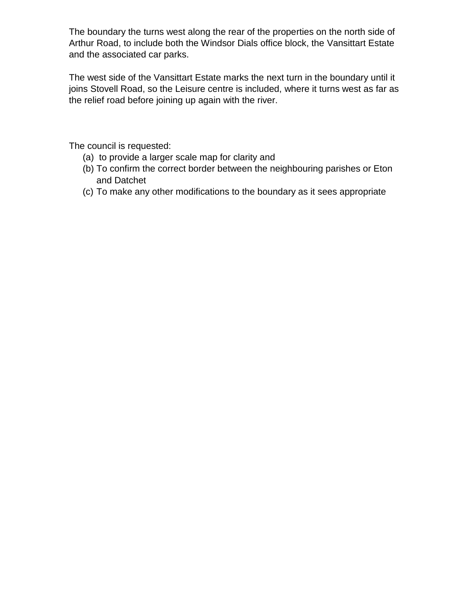The boundary the turns west along the rear of the properties on the north side of Arthur Road, to include both the Windsor Dials office block, the Vansittart Estate and the associated car parks.

The west side of the Vansittart Estate marks the next turn in the boundary until it joins Stovell Road, so the Leisure centre is included, where it turns west as far as the relief road before joining up again with the river.

The council is requested:

- (a) to provide a larger scale map for clarity and
- (b) To confirm the correct border between the neighbouring parishes or Eton and Datchet
- (c) To make any other modifications to the boundary as it sees appropriate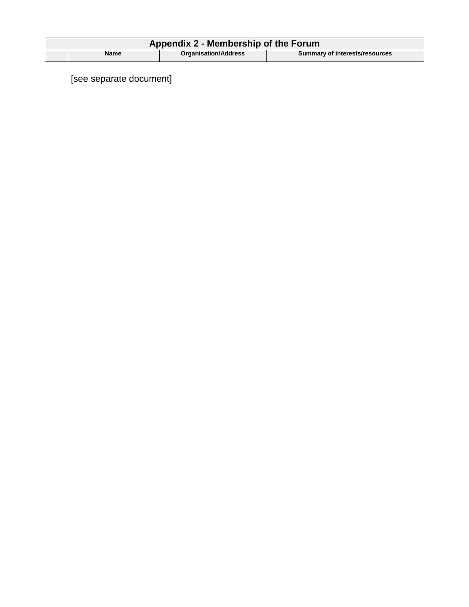| Appendix 2 - Membership of the Forum |             |                             |                                       |
|--------------------------------------|-------------|-----------------------------|---------------------------------------|
|                                      | <b>Name</b> | <b>Organisation/Address</b> | <b>Summary of interests/resources</b> |

[see separate document]

 $\overline{\phantom{a}}$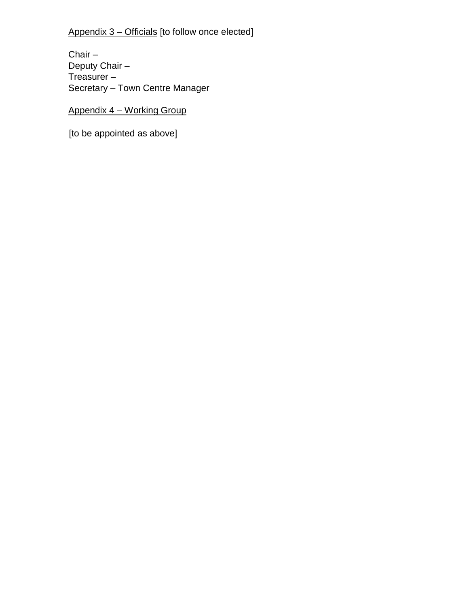Appendix 3 – Officials [to follow once elected]

Chair – Deputy Chair – Treasurer – Secretary – Town Centre Manager

Appendix 4 – Working Group

[to be appointed as above]